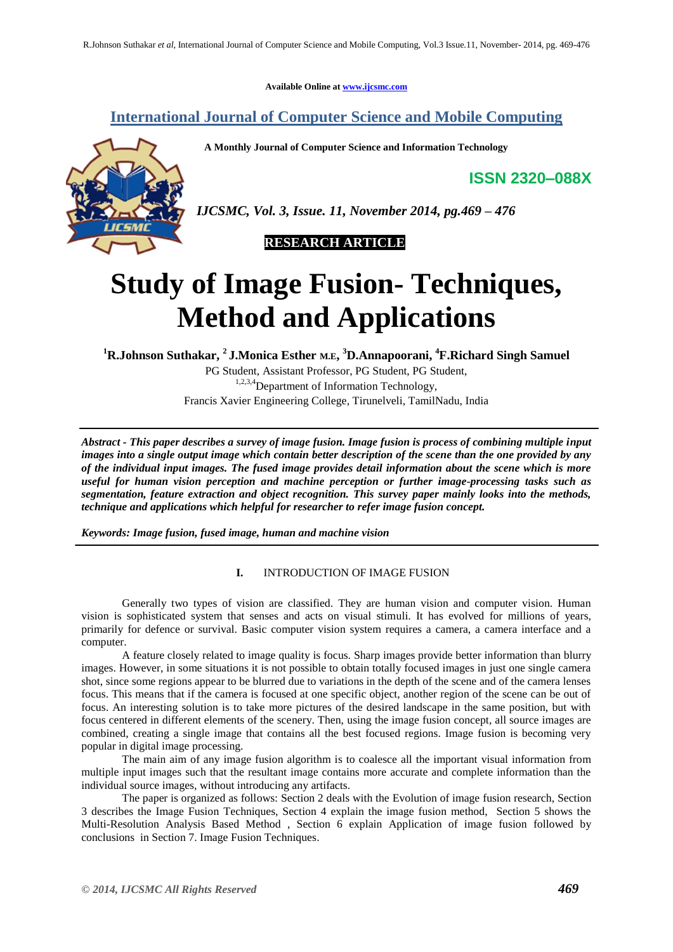**Available Online at [www.ijcsmc.com](http://www.ijcsmc.com/)**

## **International Journal of Computer Science and Mobile Computing**

 **A Monthly Journal of Computer Science and Information Technology**



*IJCSMC, Vol. 3, Issue. 11, November 2014, pg.469 – 476*



# **Study of Image Fusion- Techniques, Method and Applications**

**<sup>1</sup>R.Johnson Suthakar, <sup>2</sup>J.Monica Esther M.E, <sup>3</sup>D.Annapoorani, <sup>4</sup>F.Richard Singh Samuel**

PG Student, Assistant Professor, PG Student, PG Student, <sup>1,2,3,4</sup>Department of Information Technology, Francis Xavier Engineering College, Tirunelveli, TamilNadu, India

*Abstract - This paper describes a survey of image fusion. Image fusion is process of combining multiple input images into a single output image which contain better description of the scene than the one provided by any of the individual input images. The fused image provides detail information about the scene which is more useful for human vision perception and machine perception or further image-processing tasks such as segmentation, feature extraction and object recognition. This survey paper mainly looks into the methods, technique and applications which helpful for researcher to refer image fusion concept.*

*Keywords: Image fusion, fused image, human and machine vision*

## **I.** INTRODUCTION OF IMAGE FUSION

Generally two types of vision are classified. They are human vision and computer vision. Human vision is sophisticated system that senses and acts on visual stimuli. It has evolved for millions of years, primarily for defence or survival. Basic computer vision system requires a camera, a camera interface and a computer.

A feature closely related to image quality is focus. Sharp images provide better information than blurry images. However, in some situations it is not possible to obtain totally focused images in just one single camera shot, since some regions appear to be blurred due to variations in the depth of the scene and of the camera lenses focus. This means that if the camera is focused at one specific object, another region of the scene can be out of focus. An interesting solution is to take more pictures of the desired landscape in the same position, but with focus centered in different elements of the scenery. Then, using the image fusion concept, all source images are combined, creating a single image that contains all the best focused regions. Image fusion is becoming very popular in digital image processing.

The main aim of any image fusion algorithm is to coalesce all the important visual information from multiple input images such that the resultant image contains more accurate and complete information than the individual source images, without introducing any artifacts.

The paper is organized as follows: Section 2 deals with the Evolution of image fusion research, Section 3 describes the Image Fusion Techniques, Section 4 explain the image fusion method, Section 5 shows the Multi-Resolution Analysis Based Method , Section 6 explain Application of image fusion followed by conclusions in Section 7. Image Fusion Techniques.

**ISSN 2320–088X**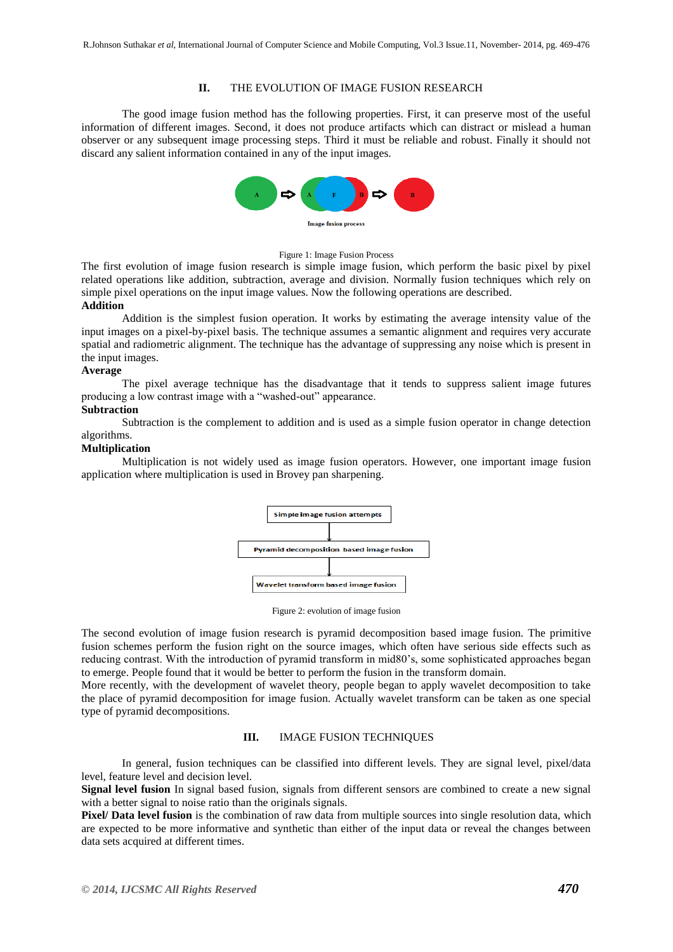## **II.** THE EVOLUTION OF IMAGE FUSION RESEARCH

The good image fusion method has the following properties. First, it can preserve most of the useful information of different images. Second, it does not produce artifacts which can distract or mislead a human observer or any subsequent image processing steps. Third it must be reliable and robust. Finally it should not discard any salient information contained in any of the input images.



#### Figure 1: Image Fusion Process

The first evolution of image fusion research is simple image fusion, which perform the basic pixel by pixel related operations like addition, subtraction, average and division. Normally fusion techniques which rely on simple pixel operations on the input image values. Now the following operations are described. **Addition**

## Addition is the simplest fusion operation. It works by estimating the average intensity value of the input images on a pixel-by-pixel basis. The technique assumes a semantic alignment and requires very accurate spatial and radiometric alignment. The technique has the advantage of suppressing any noise which is present in the input images.

### **Average**

The pixel average technique has the disadvantage that it tends to suppress salient image futures producing a low contrast image with a "washed-out" appearance.

## **Subtraction**

Subtraction is the complement to addition and is used as a simple fusion operator in change detection algorithms.

## **Multiplication**

Multiplication is not widely used as image fusion operators. However, one important image fusion application where multiplication is used in Brovey pan sharpening.



Figure 2: evolution of image fusion

The second evolution of image fusion research is pyramid decomposition based image fusion. The primitive fusion schemes perform the fusion right on the source images, which often have serious side effects such as reducing contrast. With the introduction of pyramid transform in mid80's, some sophisticated approaches began to emerge. People found that it would be better to perform the fusion in the transform domain.

More recently, with the development of wavelet theory, people began to apply wavelet decomposition to take the place of pyramid decomposition for image fusion. Actually wavelet transform can be taken as one special type of pyramid decompositions.

## **III.** IMAGE FUSION TECHNIQUES

In general, fusion techniques can be classified into different levels. They are signal level, pixel/data level, feature level and decision level.

**Signal level fusion** In signal based fusion, signals from different sensors are combined to create a new signal with a better signal to noise ratio than the originals signals.

**Pixel/ Data level fusion** is the combination of raw data from multiple sources into single resolution data, which are expected to be more informative and synthetic than either of the input data or reveal the changes between data sets acquired at different times.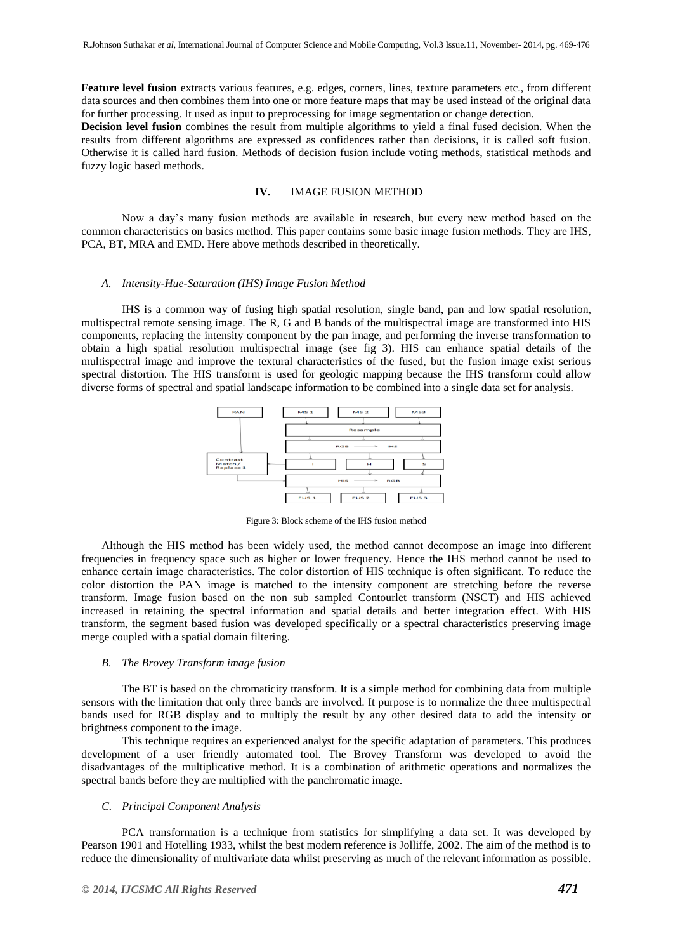**Feature level fusion** extracts various features, e.g. edges, corners, lines, texture parameters etc., from different data sources and then combines them into one or more feature maps that may be used instead of the original data for further processing. It used as input to preprocessing for image segmentation or change detection.

**Decision level fusion** combines the result from multiple algorithms to yield a final fused decision. When the results from different algorithms are expressed as confidences rather than decisions, it is called soft fusion. Otherwise it is called hard fusion. Methods of decision fusion include voting methods, statistical methods and fuzzy logic based methods.

## **IV.** IMAGE FUSION METHOD

Now a day's many fusion methods are available in research, but every new method based on the common characteristics on basics method. This paper contains some basic image fusion methods. They are IHS, PCA, BT, MRA and EMD. Here above methods described in theoretically.

#### *A. Intensity-Hue-Saturation (IHS) Image Fusion Method*

IHS is a common way of fusing high spatial resolution, single band, pan and low spatial resolution, multispectral remote sensing image. The R, G and B bands of the multispectral image are transformed into HIS components, replacing the intensity component by the pan image, and performing the inverse transformation to obtain a high spatial resolution multispectral image (see fig 3). HIS can enhance spatial details of the multispectral image and improve the textural characteristics of the fused, but the fusion image exist serious spectral distortion. The HIS transform is used for geologic mapping because the IHS transform could allow diverse forms of spectral and spatial landscape information to be combined into a single data set for analysis.



Figure 3: Block scheme of the IHS fusion method

Although the HIS method has been widely used, the method cannot decompose an image into different frequencies in frequency space such as higher or lower frequency. Hence the IHS method cannot be used to enhance certain image characteristics. The color distortion of HIS technique is often significant. To reduce the color distortion the PAN image is matched to the intensity component are stretching before the reverse transform. Image fusion based on the non sub sampled Contourlet transform (NSCT) and HIS achieved increased in retaining the spectral information and spatial details and better integration effect. With HIS transform, the segment based fusion was developed specifically or a spectral characteristics preserving image merge coupled with a spatial domain filtering.

### *B. The Brovey Transform image fusion*

The BT is based on the chromaticity transform. It is a simple method for combining data from multiple sensors with the limitation that only three bands are involved. It purpose is to normalize the three multispectral bands used for RGB display and to multiply the result by any other desired data to add the intensity or brightness component to the image.

This technique requires an experienced analyst for the specific adaptation of parameters. This produces development of a user friendly automated tool. The Brovey Transform was developed to avoid the disadvantages of the multiplicative method. It is a combination of arithmetic operations and normalizes the spectral bands before they are multiplied with the panchromatic image.

#### *C. Principal Component Analysis*

PCA transformation is a technique from statistics for simplifying a data set. It was developed by Pearson 1901 and Hotelling 1933, whilst the best modern reference is Jolliffe, 2002. The aim of the method is to reduce the dimensionality of multivariate data whilst preserving as much of the relevant information as possible.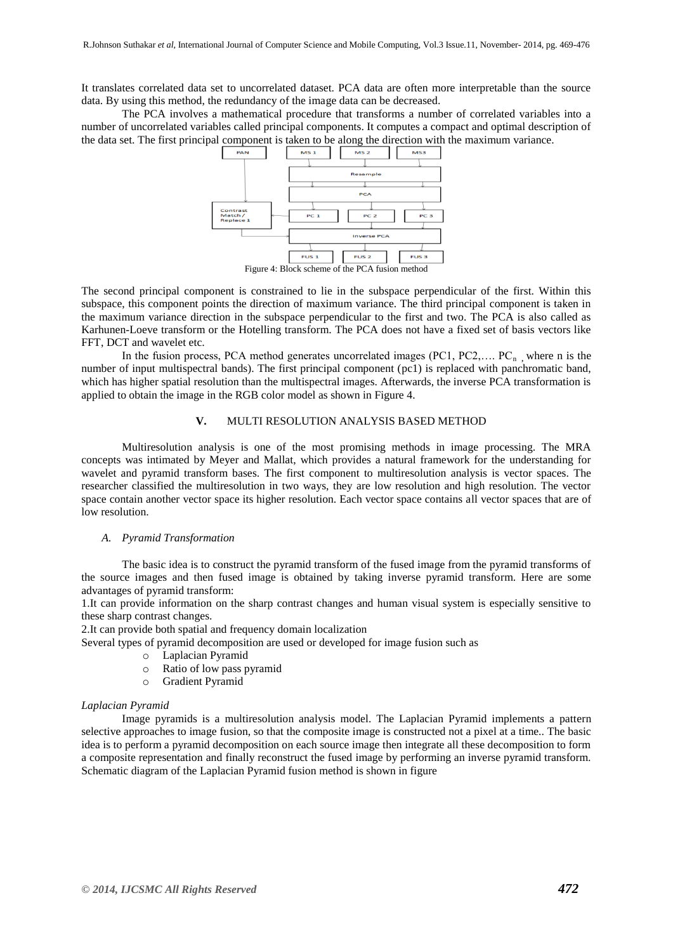It translates correlated data set to uncorrelated dataset. PCA data are often more interpretable than the source data. By using this method, the redundancy of the image data can be decreased.

The PCA involves a mathematical procedure that transforms a number of correlated variables into a number of uncorrelated variables called principal components. It computes a compact and optimal description of the data set. The first principal component is taken to be along the direction with the maximum variance.



The second principal component is constrained to lie in the subspace perpendicular of the first. Within this subspace, this component points the direction of maximum variance. The third principal component is taken in the maximum variance direction in the subspace perpendicular to the first and two. The PCA is also called as Karhunen-Loeve transform or the Hotelling transform. The PCA does not have a fixed set of basis vectors like FFT, DCT and wavelet etc.

In the fusion process, PCA method generates uncorrelated images  $(PC1, PC2, \ldots, PC_n)$ , where n is the number of input multispectral bands). The first principal component (pc1) is replaced with panchromatic band, which has higher spatial resolution than the multispectral images. Afterwards, the inverse PCA transformation is applied to obtain the image in the RGB color model as shown in Figure 4.

## **V.** MULTI RESOLUTION ANALYSIS BASED METHOD

Multiresolution analysis is one of the most promising methods in image processing. The MRA concepts was intimated by Meyer and Mallat, which provides a natural framework for the understanding for wavelet and pyramid transform bases. The first component to multiresolution analysis is vector spaces. The researcher classified the multiresolution in two ways, they are low resolution and high resolution. The vector space contain another vector space its higher resolution. Each vector space contains all vector spaces that are of low resolution.

#### *A. Pyramid Transformation*

The basic idea is to construct the pyramid transform of the fused image from the pyramid transforms of the source images and then fused image is obtained by taking inverse pyramid transform. Here are some advantages of pyramid transform:

1.It can provide information on the sharp contrast changes and human visual system is especially sensitive to these sharp contrast changes.

2.It can provide both spatial and frequency domain localization

Several types of pyramid decomposition are used or developed for image fusion such as

- o Laplacian Pyramid
- o Ratio of low pass pyramid
- o Gradient Pyramid

#### *Laplacian Pyramid*

Image pyramids is a multiresolution analysis model. The Laplacian Pyramid implements a pattern selective approaches to image fusion, so that the composite image is constructed not a pixel at a time.. The basic idea is to perform a pyramid decomposition on each source image then integrate all these decomposition to form a composite representation and finally reconstruct the fused image by performing an inverse pyramid transform. Schematic diagram of the Laplacian Pyramid fusion method is shown in figure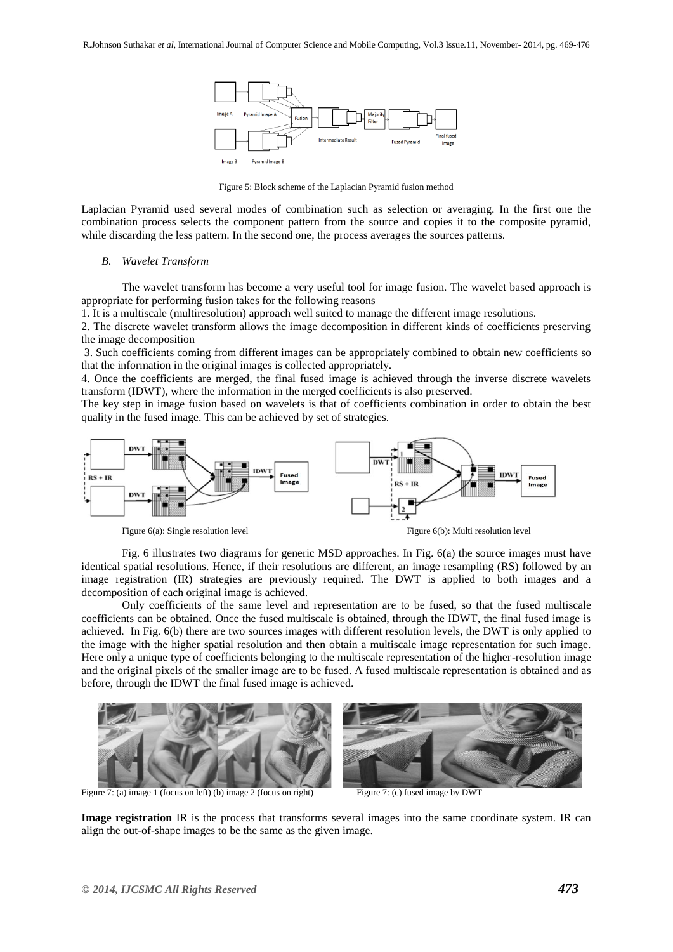

Figure 5: Block scheme of the Laplacian Pyramid fusion method

Laplacian Pyramid used several modes of combination such as selection or averaging. In the first one the combination process selects the component pattern from the source and copies it to the composite pyramid, while discarding the less pattern. In the second one, the process averages the sources patterns.

#### *B. Wavelet Transform*

The wavelet transform has become a very useful tool for image fusion. The wavelet based approach is appropriate for performing fusion takes for the following reasons

1. It is a multiscale (multiresolution) approach well suited to manage the different image resolutions.

2. The discrete wavelet transform allows the image decomposition in different kinds of coefficients preserving the image decomposition

3. Such coefficients coming from different images can be appropriately combined to obtain new coefficients so that the information in the original images is collected appropriately.

4. Once the coefficients are merged, the final fused image is achieved through the inverse discrete wavelets transform (IDWT), where the information in the merged coefficients is also preserved.

The key step in image fusion based on wavelets is that of coefficients combination in order to obtain the best quality in the fused image. This can be achieved by set of strategies.



Fig. 6 illustrates two diagrams for generic MSD approaches. In Fig. 6(a) the source images must have identical spatial resolutions. Hence, if their resolutions are different, an image resampling (RS) followed by an image registration (IR) strategies are previously required. The DWT is applied to both images and a decomposition of each original image is achieved.

Only coefficients of the same level and representation are to be fused, so that the fused multiscale coefficients can be obtained. Once the fused multiscale is obtained, through the IDWT, the final fused image is achieved. In Fig. 6(b) there are two sources images with different resolution levels, the DWT is only applied to the image with the higher spatial resolution and then obtain a multiscale image representation for such image. Here only a unique type of coefficients belonging to the multiscale representation of the higher-resolution image and the original pixels of the smaller image are to be fused. A fused multiscale representation is obtained and as before, through the IDWT the final fused image is achieved.



**Image registration** IR is the process that transforms several images into the same coordinate system. IR can align the out-of-shape images to be the same as the given image.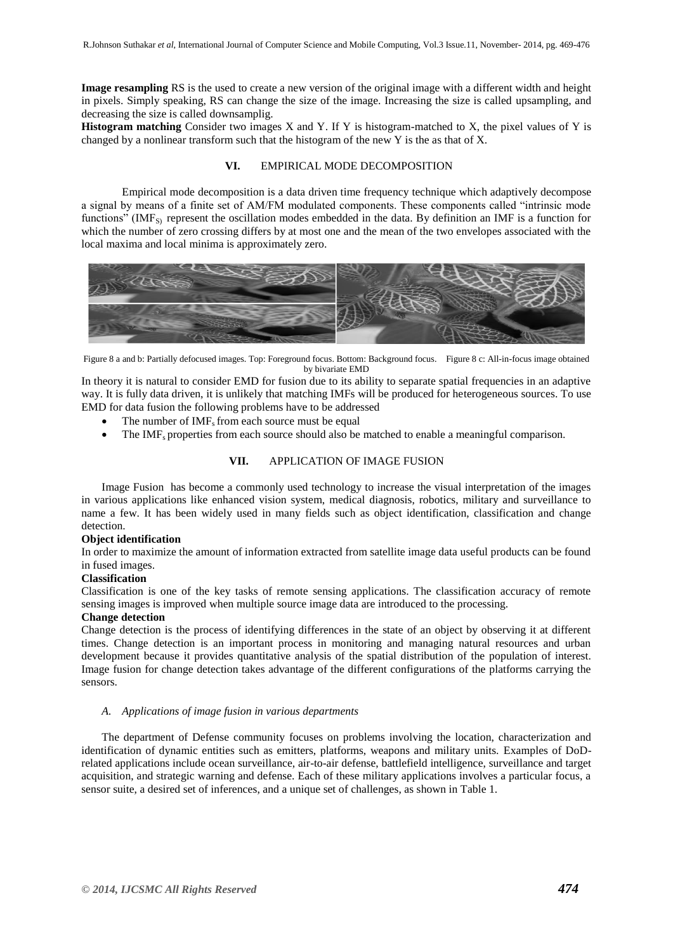**Image resampling** RS is the used to create a new version of the original image with a different width and height in pixels. Simply speaking, RS can change the size of the image. Increasing the size is called upsampling, and decreasing the size is called downsamplig.

**Histogram matching** Consider two images X and Y. If Y is histogram-matched to X, the pixel values of Y is changed by a nonlinear transform such that the histogram of the new Y is the as that of X.

### **VI.** EMPIRICAL MODE DECOMPOSITION

Empirical mode decomposition is a data driven time frequency technique which adaptively decompose a signal by means of a finite set of AM/FM modulated components. These components called "intrinsic mode functions" (IMF<sub>S)</sub> represent the oscillation modes embedded in the data. By definition an IMF is a function for which the number of zero crossing differs by at most one and the mean of the two envelopes associated with the local maxima and local minima is approximately zero.



Figure 8 a and b: Partially defocused images. Top: Foreground focus. Bottom: Background focus. Figure 8 c: All-in-focus image obtained by bivariate EMD

In theory it is natural to consider EMD for fusion due to its ability to separate spatial frequencies in an adaptive way. It is fully data driven, it is unlikely that matching IMFs will be produced for heterogeneous sources. To use EMD for data fusion the following problems have to be addressed

- The number of IMF<sub>s</sub> from each source must be equal
- The IMF<sub>s</sub> properties from each source should also be matched to enable a meaningful comparison.

## **VII.** APPLICATION OF IMAGE FUSION

Image Fusion has become a commonly used technology to increase the visual interpretation of the images in various applications like enhanced vision system, medical diagnosis, robotics, military and surveillance to name a few. It has been widely used in many fields such as object identification, classification and change detection.

## **Object identification**

In order to maximize the amount of information extracted from satellite image data useful products can be found in fused images.

## **Classification**

Classification is one of the key tasks of remote sensing applications. The classification accuracy of remote sensing images is improved when multiple source image data are introduced to the processing.

## **Change detection**

Change detection is the process of identifying differences in the state of an object by observing it at different times. Change detection is an important process in monitoring and managing natural resources and urban development because it provides quantitative analysis of the spatial distribution of the population of interest. Image fusion for change detection takes advantage of the different configurations of the platforms carrying the sensors.

## *A. Applications of image fusion in various departments*

The department of Defense community focuses on problems involving the location, characterization and identification of dynamic entities such as emitters, platforms, weapons and military units. Examples of DoDrelated applications include ocean surveillance, air-to-air defense, battlefield intelligence, surveillance and target acquisition, and strategic warning and defense. Each of these military applications involves a particular focus, a sensor suite, a desired set of inferences, and a unique set of challenges, as shown in Table 1.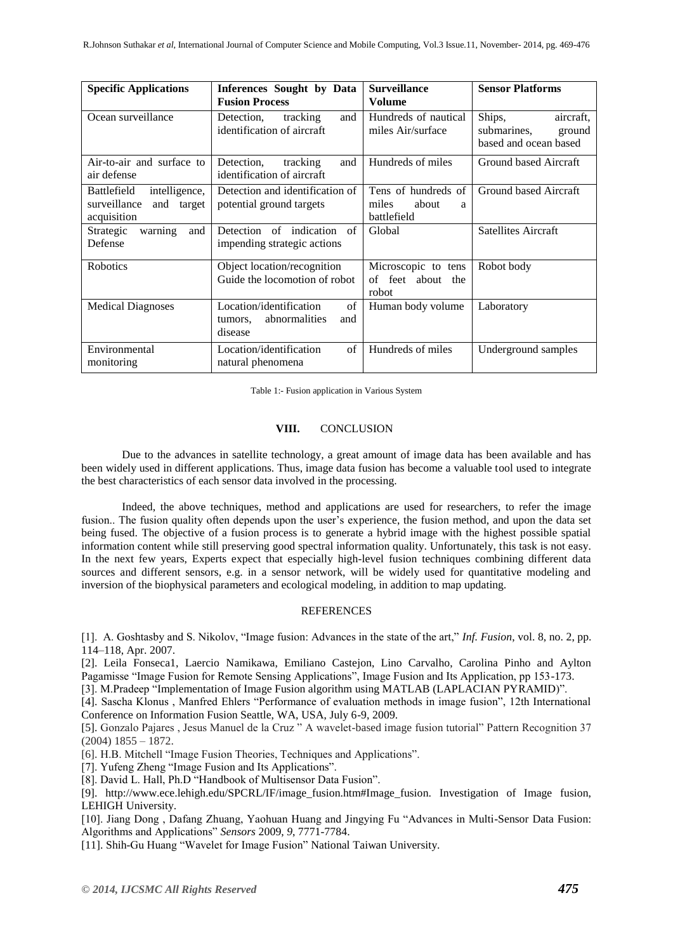| <b>Specific Applications</b>                                                     | Inferences Sought by Data<br><b>Fusion Process</b>                          | <b>Surveillance</b><br><b>Volume</b>                      | <b>Sensor Platforms</b>                                               |
|----------------------------------------------------------------------------------|-----------------------------------------------------------------------------|-----------------------------------------------------------|-----------------------------------------------------------------------|
| Ocean surveillance                                                               | tracking<br>Detection,<br>and<br>identification of aircraft                 | Hundreds of nautical<br>miles Air/surface                 | Ships,<br>aircraft.<br>submarines,<br>ground<br>based and ocean based |
| Air-to-air and surface to<br>air defense                                         | Detection,<br>tracking<br>and<br>identification of aircraft                 | Hundreds of miles                                         | Ground based Aircraft                                                 |
| intelligence,<br><b>Battlefield</b><br>surveillance<br>and target<br>acquisition | Detection and identification of<br>potential ground targets                 | Tens of hundreds of<br>miles<br>about<br>a<br>battlefield | Ground based Aircraft                                                 |
| warning<br>Strategic<br>and<br>Defense                                           | Detection of indication<br>of<br>impending strategic actions                | Global                                                    | <b>Satellites Aircraft</b>                                            |
| <b>Robotics</b>                                                                  | Object location/recognition<br>Guide the locomotion of robot                | Microscopic to tens<br>of feet about the<br>robot         | Robot body                                                            |
| <b>Medical Diagnoses</b>                                                         | Location/identification<br>of<br>abnormalities<br>and<br>tumors.<br>disease | Human body volume                                         | Laboratory                                                            |
| Environmental<br>monitoring                                                      | Location/identification<br>of<br>natural phenomena                          | Hundreds of miles                                         | Underground samples                                                   |

Table 1:- Fusion application in Various System

## **VIII.** CONCLUSION

Due to the advances in satellite technology, a great amount of image data has been available and has been widely used in different applications. Thus, image data fusion has become a valuable tool used to integrate the best characteristics of each sensor data involved in the processing.

Indeed, the above techniques, method and applications are used for researchers, to refer the image fusion.. The fusion quality often depends upon the user's experience, the fusion method, and upon the data set being fused. The objective of a fusion process is to generate a hybrid image with the highest possible spatial information content while still preserving good spectral information quality. Unfortunately, this task is not easy. In the next few years, Experts expect that especially high-level fusion techniques combining different data sources and different sensors, e.g. in a sensor network, will be widely used for quantitative modeling and inversion of the biophysical parameters and ecological modeling, in addition to map updating.

#### **REFERENCES**

[1]. A. Goshtasby and S. Nikolov, "Image fusion: Advances in the state of the art," *Inf. Fusion*, vol. 8, no. 2, pp. 114–118, Apr. 2007.

[2]. Leila Fonseca1, Laercio Namikawa, Emiliano Castejon, Lino Carvalho, Carolina Pinho and Aylton Pagamisse "Image Fusion for Remote Sensing Applications", Image Fusion and Its Application, pp 153-173.

[3]. M.Pradeep "Implementation of Image Fusion algorithm using MATLAB (LAPLACIAN PYRAMID)".

[4]. Sascha Klonus , Manfred Ehlers "Performance of evaluation methods in image fusion", 12th International Conference on Information Fusion Seattle, WA, USA, July 6-9, 2009.

[5]. Gonzalo Pajares , Jesus Manuel de la Cruz " A wavelet-based image fusion tutorial" Pattern Recognition 37  $(2004)$  1855 – 1872.

[6]. H.B. Mitchell "Image Fusion Theories, Techniques and Applications".

[7]. Yufeng Zheng "Image Fusion and Its Applications".

[8]. David L. Hall, Ph.D "Handbook of Multisensor Data Fusion".

[9]. http://www.ece.lehigh.edu/SPCRL/IF/image fusion.htm#Image fusion. Investigation of Image fusion, LEHIGH University.

[10]. Jiang Dong , Dafang Zhuang, Yaohuan Huang and Jingying Fu "Advances in Multi-Sensor Data Fusion: Algorithms and Applications" *Sensors* 2009, *9*, 7771-7784.

[11]. Shih-Gu Huang "Wavelet for Image Fusion" National Taiwan University.